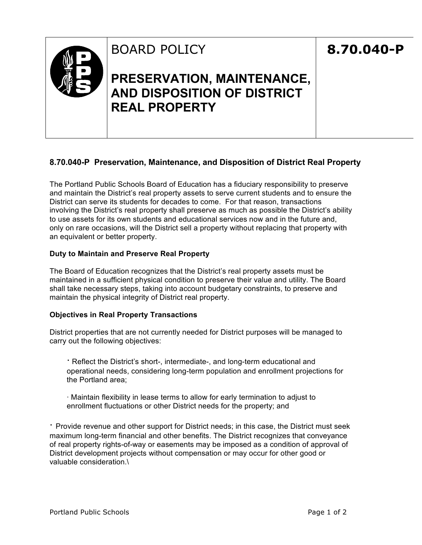

## **8.70.040-P Preservation, Maintenance, and Disposition of District Real Property**

The Portland Public Schools Board of Education has a fiduciary responsibility to preserve and maintain the District's real property assets to serve current students and to ensure the District can serve its students for decades to come. For that reason, transactions involving the District's real property shall preserve as much as possible the District's ability to use assets for its own students and educational services now and in the future and, only on rare occasions, will the District sell a property without replacing that property with an equivalent or better property.

## **Duty to Maintain and Preserve Real Property**

The Board of Education recognizes that the District's real property assets must be maintained in a sufficient physical condition to preserve their value and utility. The Board shall take necessary steps, taking into account budgetary constraints, to preserve and maintain the physical integrity of District real property.

## **Objectives in Real Property Transactions**

District properties that are not currently needed for District purposes will be managed to carry out the following objectives:

∙ Reflect the District's short-, intermediate-, and long-term educational and operational needs, considering long-term population and enrollment projections for the Portland area;

∙ Maintain flexibility in lease terms to allow for early termination to adjust to enrollment fluctuations or other District needs for the property; and

∙ Provide revenue and other support for District needs; in this case, the District must seek maximum long-term financial and other benefits. The District recognizes that conveyance of real property rights-of-way or easements may be imposed as a condition of approval of District development projects without compensation or may occur for other good or valuable consideration.\